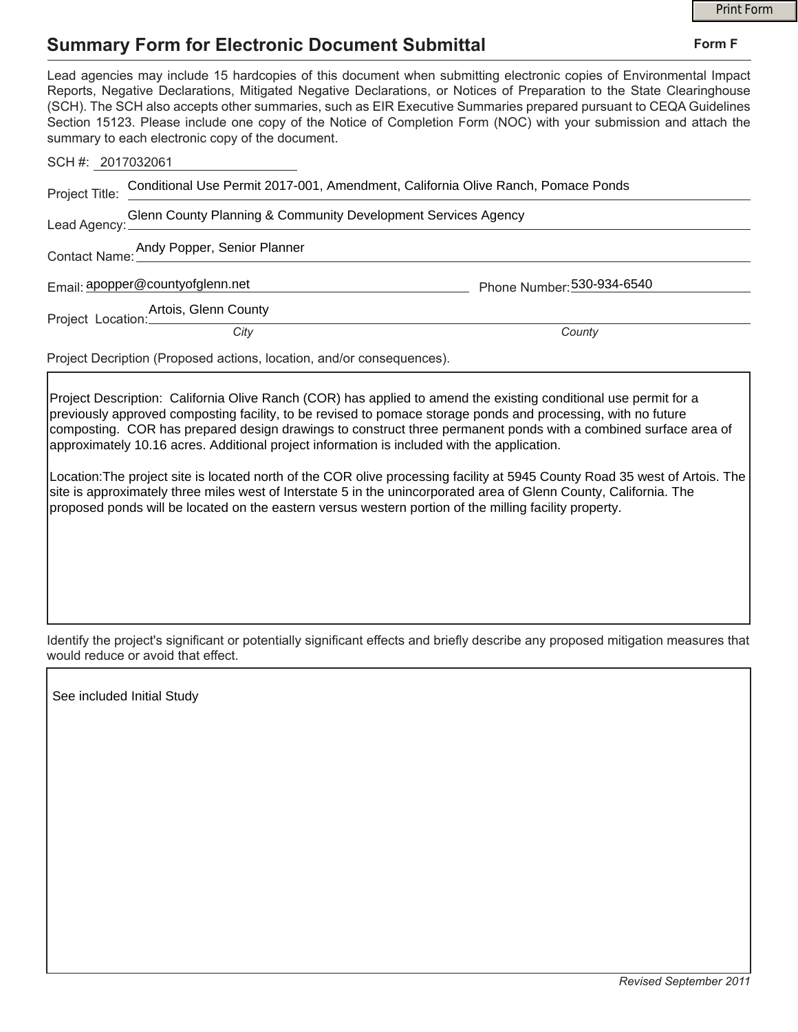## **Summary Form for Electronic Document Submittal**

|                                                                                                                                                                                                                                                                                                                                                                                                                                                                                                                                                                                                                                                                                                                                                                                                                    | <b>Print Form</b>          |
|--------------------------------------------------------------------------------------------------------------------------------------------------------------------------------------------------------------------------------------------------------------------------------------------------------------------------------------------------------------------------------------------------------------------------------------------------------------------------------------------------------------------------------------------------------------------------------------------------------------------------------------------------------------------------------------------------------------------------------------------------------------------------------------------------------------------|----------------------------|
| <b>Summary Form for Electronic Document Submittal</b>                                                                                                                                                                                                                                                                                                                                                                                                                                                                                                                                                                                                                                                                                                                                                              | Form F                     |
| Lead agencies may include 15 hardcopies of this document when submitting electronic copies of Environmental Impact<br>Reports, Negative Declarations, Mitigated Negative Declarations, or Notices of Preparation to the State Clearinghouse<br>(SCH). The SCH also accepts other summaries, such as EIR Executive Summaries prepared pursuant to CEQA Guidelines<br>Section 15123. Please include one copy of the Notice of Completion Form (NOC) with your submission and attach the<br>summary to each electronic copy of the document.                                                                                                                                                                                                                                                                          |                            |
| SCH #: 2017032061                                                                                                                                                                                                                                                                                                                                                                                                                                                                                                                                                                                                                                                                                                                                                                                                  |                            |
| Conditional Use Permit 2017-001, Amendment, California Olive Ranch, Pomace Ponds<br>Project Title:                                                                                                                                                                                                                                                                                                                                                                                                                                                                                                                                                                                                                                                                                                                 |                            |
| Glenn County Planning & Community Development Services Agency<br>Lead Agency:                                                                                                                                                                                                                                                                                                                                                                                                                                                                                                                                                                                                                                                                                                                                      |                            |
| Contact Name: Andy Popper, Senior Planner                                                                                                                                                                                                                                                                                                                                                                                                                                                                                                                                                                                                                                                                                                                                                                          |                            |
| Email: apopper@countyofglenn.net                                                                                                                                                                                                                                                                                                                                                                                                                                                                                                                                                                                                                                                                                                                                                                                   | Phone Number: 530-934-6540 |
| Artois, Glenn County<br>Project Location:                                                                                                                                                                                                                                                                                                                                                                                                                                                                                                                                                                                                                                                                                                                                                                          |                            |
| City                                                                                                                                                                                                                                                                                                                                                                                                                                                                                                                                                                                                                                                                                                                                                                                                               | County                     |
| Project Decription (Proposed actions, location, and/or consequences).                                                                                                                                                                                                                                                                                                                                                                                                                                                                                                                                                                                                                                                                                                                                              |                            |
| Project Description: California Olive Ranch (COR) has applied to amend the existing conditional use permit for a<br>previously approved composting facility, to be revised to pomace storage ponds and processing, with no future<br>composting. COR has prepared design drawings to construct three permanent ponds with a combined surface area of<br>approximately 10.16 acres. Additional project information is included with the application.<br>Location: The project site is located north of the COR olive processing facility at 5945 County Road 35 west of Artois. The<br>site is approximately three miles west of Interstate 5 in the unincorporated area of Glenn County, California. The<br>proposed ponds will be located on the eastern versus western portion of the milling facility property. |                            |

Identify the project's significant or potentially significant effects and briefly describe any proposed mitigation measures that would reduce or avoid that effect.

See included Initial Study